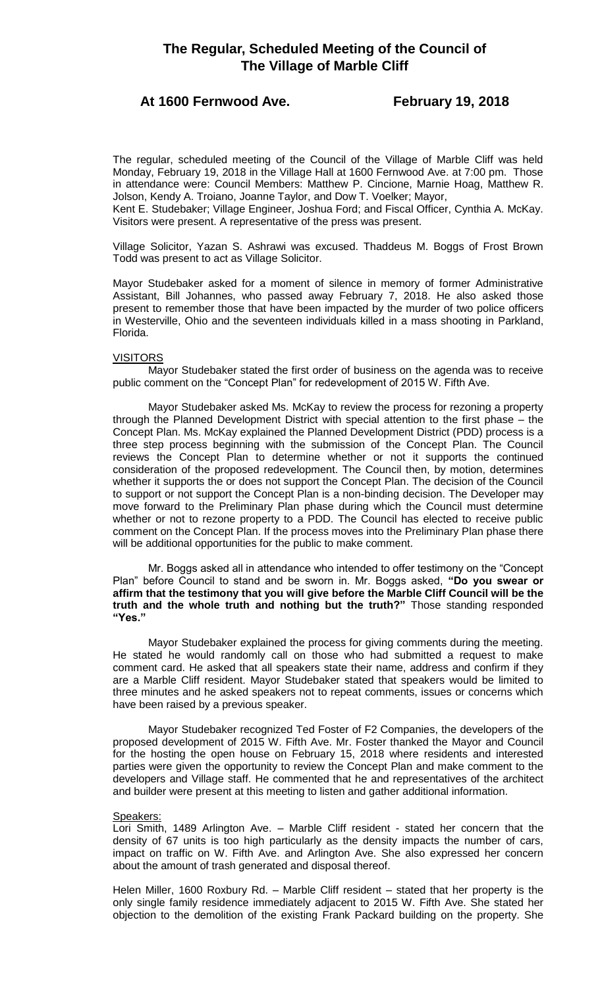# **The Regular, Scheduled Meeting of the Council of The Village of Marble Cliff**

## **At 1600 Fernwood Ave. February 19, 2018**

The regular, scheduled meeting of the Council of the Village of Marble Cliff was held Monday, February 19, 2018 in the Village Hall at 1600 Fernwood Ave. at 7:00 pm. Those in attendance were: Council Members: Matthew P. Cincione, Marnie Hoag, Matthew R. Jolson, Kendy A. Troiano, Joanne Taylor, and Dow T. Voelker; Mayor,

Kent E. Studebaker; Village Engineer, Joshua Ford; and Fiscal Officer, Cynthia A. McKay. Visitors were present. A representative of the press was present.

Village Solicitor, Yazan S. Ashrawi was excused. Thaddeus M. Boggs of Frost Brown Todd was present to act as Village Solicitor.

Mayor Studebaker asked for a moment of silence in memory of former Administrative Assistant, Bill Johannes, who passed away February 7, 2018. He also asked those present to remember those that have been impacted by the murder of two police officers in Westerville, Ohio and the seventeen individuals killed in a mass shooting in Parkland, Florida.

## VISITORS

Mayor Studebaker stated the first order of business on the agenda was to receive public comment on the "Concept Plan" for redevelopment of 2015 W. Fifth Ave.

Mayor Studebaker asked Ms. McKay to review the process for rezoning a property through the Planned Development District with special attention to the first phase – the Concept Plan. Ms. McKay explained the Planned Development District (PDD) process is a three step process beginning with the submission of the Concept Plan. The Council reviews the Concept Plan to determine whether or not it supports the continued consideration of the proposed redevelopment. The Council then, by motion, determines whether it supports the or does not support the Concept Plan. The decision of the Council to support or not support the Concept Plan is a non-binding decision. The Developer may move forward to the Preliminary Plan phase during which the Council must determine whether or not to rezone property to a PDD. The Council has elected to receive public comment on the Concept Plan. If the process moves into the Preliminary Plan phase there will be additional opportunities for the public to make comment.

Mr. Boggs asked all in attendance who intended to offer testimony on the "Concept Plan" before Council to stand and be sworn in. Mr. Boggs asked, **"Do you swear or affirm that the testimony that you will give before the Marble Cliff Council will be the truth and the whole truth and nothing but the truth?"** Those standing responded **"Yes."**

Mayor Studebaker explained the process for giving comments during the meeting. He stated he would randomly call on those who had submitted a request to make comment card. He asked that all speakers state their name, address and confirm if they are a Marble Cliff resident. Mayor Studebaker stated that speakers would be limited to three minutes and he asked speakers not to repeat comments, issues or concerns which have been raised by a previous speaker.

Mayor Studebaker recognized Ted Foster of F2 Companies, the developers of the proposed development of 2015 W. Fifth Ave. Mr. Foster thanked the Mayor and Council for the hosting the open house on February 15, 2018 where residents and interested parties were given the opportunity to review the Concept Plan and make comment to the developers and Village staff. He commented that he and representatives of the architect and builder were present at this meeting to listen and gather additional information.

#### Speakers:

Lori Smith, 1489 Arlington Ave. – Marble Cliff resident - stated her concern that the density of 67 units is too high particularly as the density impacts the number of cars, impact on traffic on W. Fifth Ave. and Arlington Ave. She also expressed her concern about the amount of trash generated and disposal thereof.

Helen Miller, 1600 Roxbury Rd. – Marble Cliff resident – stated that her property is the only single family residence immediately adjacent to 2015 W. Fifth Ave. She stated her objection to the demolition of the existing Frank Packard building on the property. She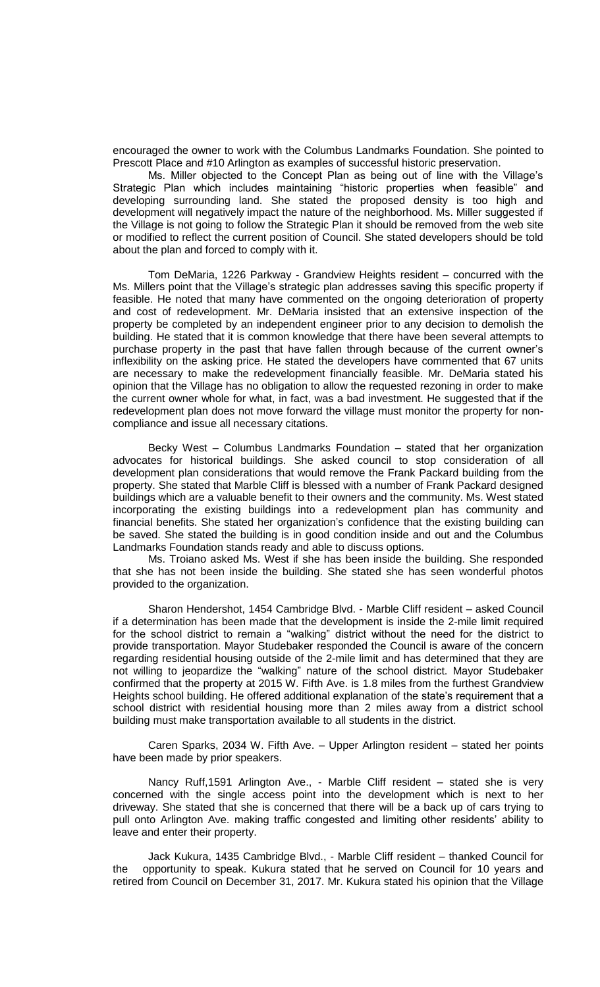encouraged the owner to work with the Columbus Landmarks Foundation. She pointed to Prescott Place and #10 Arlington as examples of successful historic preservation.

Ms. Miller objected to the Concept Plan as being out of line with the Village's Strategic Plan which includes maintaining "historic properties when feasible" and developing surrounding land. She stated the proposed density is too high and development will negatively impact the nature of the neighborhood. Ms. Miller suggested if the Village is not going to follow the Strategic Plan it should be removed from the web site or modified to reflect the current position of Council. She stated developers should be told about the plan and forced to comply with it.

Tom DeMaria, 1226 Parkway - Grandview Heights resident – concurred with the Ms. Millers point that the Village's strategic plan addresses saving this specific property if feasible. He noted that many have commented on the ongoing deterioration of property and cost of redevelopment. Mr. DeMaria insisted that an extensive inspection of the property be completed by an independent engineer prior to any decision to demolish the building. He stated that it is common knowledge that there have been several attempts to purchase property in the past that have fallen through because of the current owner's inflexibility on the asking price. He stated the developers have commented that 67 units are necessary to make the redevelopment financially feasible. Mr. DeMaria stated his opinion that the Village has no obligation to allow the requested rezoning in order to make the current owner whole for what, in fact, was a bad investment. He suggested that if the redevelopment plan does not move forward the village must monitor the property for noncompliance and issue all necessary citations.

Becky West – Columbus Landmarks Foundation – stated that her organization advocates for historical buildings. She asked council to stop consideration of all development plan considerations that would remove the Frank Packard building from the property. She stated that Marble Cliff is blessed with a number of Frank Packard designed buildings which are a valuable benefit to their owners and the community. Ms. West stated incorporating the existing buildings into a redevelopment plan has community and financial benefits. She stated her organization's confidence that the existing building can be saved. She stated the building is in good condition inside and out and the Columbus Landmarks Foundation stands ready and able to discuss options.

Ms. Troiano asked Ms. West if she has been inside the building. She responded that she has not been inside the building. She stated she has seen wonderful photos provided to the organization.

Sharon Hendershot, 1454 Cambridge Blvd. - Marble Cliff resident – asked Council if a determination has been made that the development is inside the 2-mile limit required for the school district to remain a "walking" district without the need for the district to provide transportation. Mayor Studebaker responded the Council is aware of the concern regarding residential housing outside of the 2-mile limit and has determined that they are not willing to jeopardize the "walking" nature of the school district. Mayor Studebaker confirmed that the property at 2015 W. Fifth Ave. is 1.8 miles from the furthest Grandview Heights school building. He offered additional explanation of the state's requirement that a school district with residential housing more than 2 miles away from a district school building must make transportation available to all students in the district.

Caren Sparks, 2034 W. Fifth Ave. – Upper Arlington resident – stated her points have been made by prior speakers.

Nancy Ruff,1591 Arlington Ave., - Marble Cliff resident – stated she is very concerned with the single access point into the development which is next to her driveway. She stated that she is concerned that there will be a back up of cars trying to pull onto Arlington Ave. making traffic congested and limiting other residents' ability to leave and enter their property.

Jack Kukura, 1435 Cambridge Blvd., - Marble Cliff resident – thanked Council for the opportunity to speak. Kukura stated that he served on Council for 10 years and retired from Council on December 31, 2017. Mr. Kukura stated his opinion that the Village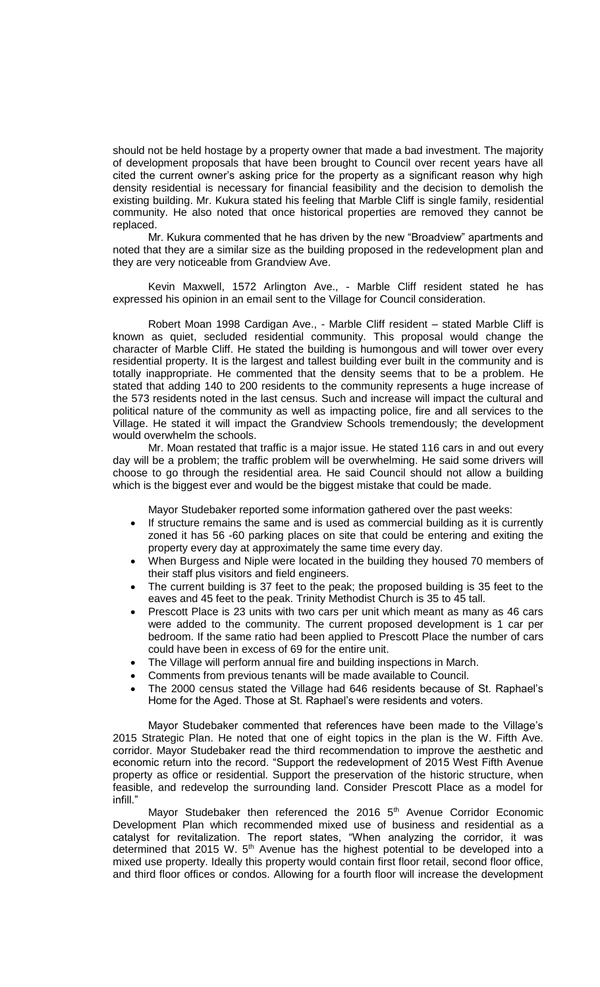should not be held hostage by a property owner that made a bad investment. The majority of development proposals that have been brought to Council over recent years have all cited the current owner's asking price for the property as a significant reason why high density residential is necessary for financial feasibility and the decision to demolish the existing building. Mr. Kukura stated his feeling that Marble Cliff is single family, residential community. He also noted that once historical properties are removed they cannot be replaced.

Mr. Kukura commented that he has driven by the new "Broadview" apartments and noted that they are a similar size as the building proposed in the redevelopment plan and they are very noticeable from Grandview Ave.

Kevin Maxwell, 1572 Arlington Ave., - Marble Cliff resident stated he has expressed his opinion in an email sent to the Village for Council consideration.

Robert Moan 1998 Cardigan Ave., - Marble Cliff resident – stated Marble Cliff is known as quiet, secluded residential community. This proposal would change the character of Marble Cliff. He stated the building is humongous and will tower over every residential property. It is the largest and tallest building ever built in the community and is totally inappropriate. He commented that the density seems that to be a problem. He stated that adding 140 to 200 residents to the community represents a huge increase of the 573 residents noted in the last census. Such and increase will impact the cultural and political nature of the community as well as impacting police, fire and all services to the Village. He stated it will impact the Grandview Schools tremendously; the development would overwhelm the schools.

Mr. Moan restated that traffic is a major issue. He stated 116 cars in and out every day will be a problem; the traffic problem will be overwhelming. He said some drivers will choose to go through the residential area. He said Council should not allow a building which is the biggest ever and would be the biggest mistake that could be made.

Mayor Studebaker reported some information gathered over the past weeks:

- If structure remains the same and is used as commercial building as it is currently zoned it has 56 -60 parking places on site that could be entering and exiting the property every day at approximately the same time every day.
- When Burgess and Niple were located in the building they housed 70 members of their staff plus visitors and field engineers.
- The current building is 37 feet to the peak; the proposed building is 35 feet to the eaves and 45 feet to the peak. Trinity Methodist Church is 35 to 45 tall.
- Prescott Place is 23 units with two cars per unit which meant as many as 46 cars were added to the community. The current proposed development is 1 car per bedroom. If the same ratio had been applied to Prescott Place the number of cars could have been in excess of 69 for the entire unit.
- The Village will perform annual fire and building inspections in March.
- Comments from previous tenants will be made available to Council.
- The 2000 census stated the Village had 646 residents because of St. Raphael's Home for the Aged. Those at St. Raphael's were residents and voters.

Mayor Studebaker commented that references have been made to the Village's 2015 Strategic Plan. He noted that one of eight topics in the plan is the W. Fifth Ave. corridor. Mayor Studebaker read the third recommendation to improve the aesthetic and economic return into the record. "Support the redevelopment of 2015 West Fifth Avenue property as office or residential. Support the preservation of the historic structure, when feasible, and redevelop the surrounding land. Consider Prescott Place as a model for infill."

Mayor Studebaker then referenced the 2016 5<sup>th</sup> Avenue Corridor Economic Development Plan which recommended mixed use of business and residential as a catalyst for revitalization. The report states, "When analyzing the corridor, it was determined that 2015 W. 5<sup>th</sup> Avenue has the highest potential to be developed into a mixed use property. Ideally this property would contain first floor retail, second floor office, and third floor offices or condos. Allowing for a fourth floor will increase the development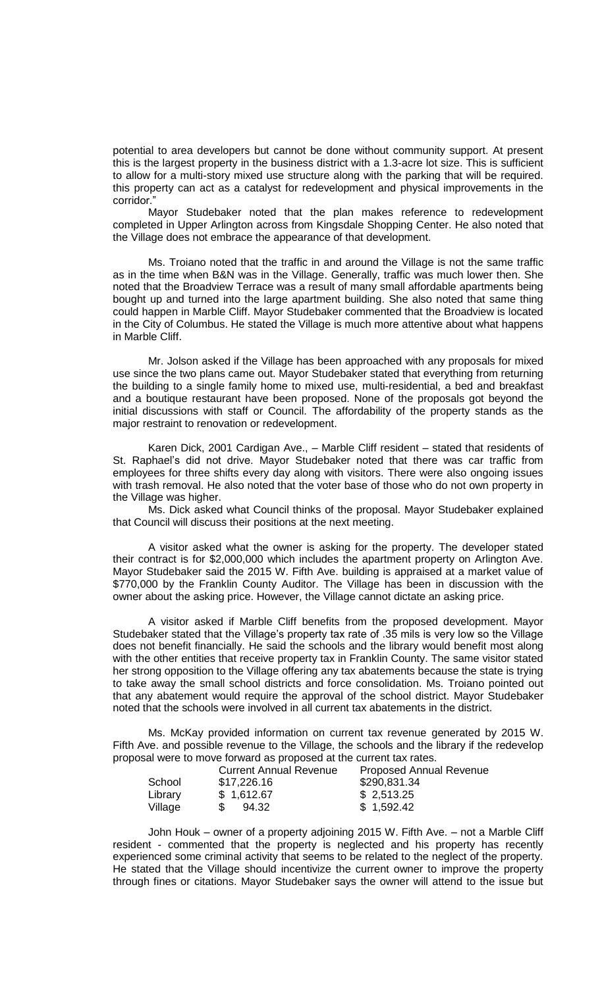potential to area developers but cannot be done without community support. At present this is the largest property in the business district with a 1.3-acre lot size. This is sufficient to allow for a multi-story mixed use structure along with the parking that will be required. this property can act as a catalyst for redevelopment and physical improvements in the corridor."

Mayor Studebaker noted that the plan makes reference to redevelopment completed in Upper Arlington across from Kingsdale Shopping Center. He also noted that the Village does not embrace the appearance of that development.

Ms. Troiano noted that the traffic in and around the Village is not the same traffic as in the time when B&N was in the Village. Generally, traffic was much lower then. She noted that the Broadview Terrace was a result of many small affordable apartments being bought up and turned into the large apartment building. She also noted that same thing could happen in Marble Cliff. Mayor Studebaker commented that the Broadview is located in the City of Columbus. He stated the Village is much more attentive about what happens in Marble Cliff.

Mr. Jolson asked if the Village has been approached with any proposals for mixed use since the two plans came out. Mayor Studebaker stated that everything from returning the building to a single family home to mixed use, multi-residential, a bed and breakfast and a boutique restaurant have been proposed. None of the proposals got beyond the initial discussions with staff or Council. The affordability of the property stands as the major restraint to renovation or redevelopment.

Karen Dick, 2001 Cardigan Ave., – Marble Cliff resident – stated that residents of St. Raphael's did not drive. Mayor Studebaker noted that there was car traffic from employees for three shifts every day along with visitors. There were also ongoing issues with trash removal. He also noted that the voter base of those who do not own property in the Village was higher.

Ms. Dick asked what Council thinks of the proposal. Mayor Studebaker explained that Council will discuss their positions at the next meeting.

A visitor asked what the owner is asking for the property. The developer stated their contract is for \$2,000,000 which includes the apartment property on Arlington Ave. Mayor Studebaker said the 2015 W. Fifth Ave. building is appraised at a market value of \$770,000 by the Franklin County Auditor. The Village has been in discussion with the owner about the asking price. However, the Village cannot dictate an asking price.

A visitor asked if Marble Cliff benefits from the proposed development. Mayor Studebaker stated that the Village's property tax rate of .35 mils is very low so the Village does not benefit financially. He said the schools and the library would benefit most along with the other entities that receive property tax in Franklin County. The same visitor stated her strong opposition to the Village offering any tax abatements because the state is trying to take away the small school districts and force consolidation. Ms. Troiano pointed out that any abatement would require the approval of the school district. Mayor Studebaker noted that the schools were involved in all current tax abatements in the district.

Ms. McKay provided information on current tax revenue generated by 2015 W. Fifth Ave. and possible revenue to the Village, the schools and the library if the redevelop proposal were to move forward as proposed at the current tax rates.

| <b>Current Annual Revenue</b> | <b>Proposed Annual Revenue</b> |
|-------------------------------|--------------------------------|
| \$17,226.16                   | \$290,831.34                   |
| \$1,612.67                    | \$2,513.25                     |
| 94.32                         | \$1,592.42                     |
|                               |                                |

John Houk – owner of a property adjoining 2015 W. Fifth Ave. – not a Marble Cliff resident - commented that the property is neglected and his property has recently experienced some criminal activity that seems to be related to the neglect of the property. He stated that the Village should incentivize the current owner to improve the property through fines or citations. Mayor Studebaker says the owner will attend to the issue but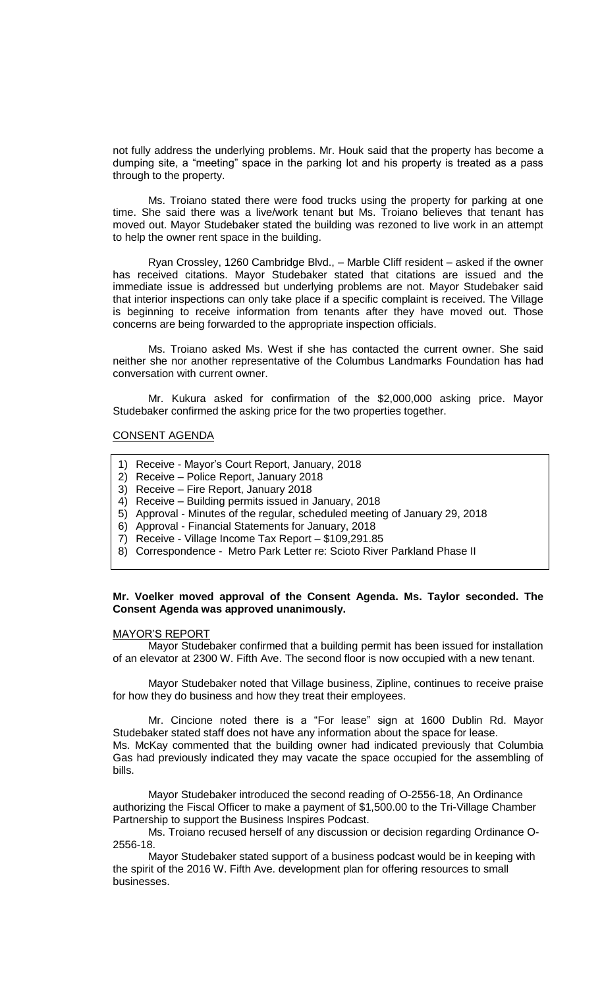not fully address the underlying problems. Mr. Houk said that the property has become a dumping site, a "meeting" space in the parking lot and his property is treated as a pass through to the property.

Ms. Troiano stated there were food trucks using the property for parking at one time. She said there was a live/work tenant but Ms. Troiano believes that tenant has moved out. Mayor Studebaker stated the building was rezoned to live work in an attempt to help the owner rent space in the building.

Ryan Crossley, 1260 Cambridge Blvd., – Marble Cliff resident – asked if the owner has received citations. Mayor Studebaker stated that citations are issued and the immediate issue is addressed but underlying problems are not. Mayor Studebaker said that interior inspections can only take place if a specific complaint is received. The Village is beginning to receive information from tenants after they have moved out. Those concerns are being forwarded to the appropriate inspection officials.

Ms. Troiano asked Ms. West if she has contacted the current owner. She said neither she nor another representative of the Columbus Landmarks Foundation has had conversation with current owner.

Mr. Kukura asked for confirmation of the \$2,000,000 asking price. Mayor Studebaker confirmed the asking price for the two properties together.

## CONSENT AGENDA

- 1) Receive Mayor's Court Report, January, 2018
- 2) Receive Police Report, January 2018
- 3) Receive Fire Report, January 2018
- 4) Receive Building permits issued in January, 2018
- 5) Approval Minutes of the regular, scheduled meeting of January 29, 2018
- 6) Approval Financial Statements for January, 2018
- 7) Receive Village Income Tax Report \$109,291.85
- 8) Correspondence Metro Park Letter re: Scioto River Parkland Phase II

## **Mr. Voelker moved approval of the Consent Agenda. Ms. Taylor seconded. The Consent Agenda was approved unanimously.**

## MAYOR'S REPORT

Mayor Studebaker confirmed that a building permit has been issued for installation of an elevator at 2300 W. Fifth Ave. The second floor is now occupied with a new tenant.

Mayor Studebaker noted that Village business, Zipline, continues to receive praise for how they do business and how they treat their employees.

Mr. Cincione noted there is a "For lease" sign at 1600 Dublin Rd. Mayor Studebaker stated staff does not have any information about the space for lease. Ms. McKay commented that the building owner had indicated previously that Columbia Gas had previously indicated they may vacate the space occupied for the assembling of bills.

Mayor Studebaker introduced the second reading of O-2556-18, An Ordinance authorizing the Fiscal Officer to make a payment of \$1,500.00 to the Tri-Village Chamber Partnership to support the Business Inspires Podcast.

Ms. Troiano recused herself of any discussion or decision regarding Ordinance O-2556-18.

Mayor Studebaker stated support of a business podcast would be in keeping with the spirit of the 2016 W. Fifth Ave. development plan for offering resources to small businesses.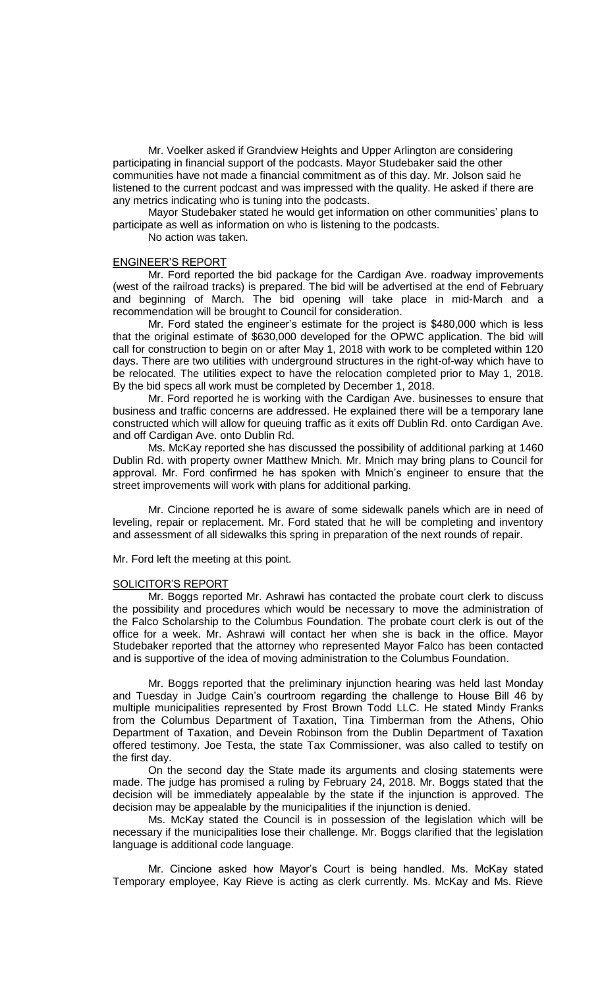Mr. Voelker asked if Grandview Heights and Upper Arlington are considering participating in financial support of the podcasts. Mayor Studebaker said the other communities have not made a financial commitment as of this day. Mr. Jolson said he listened to the current podcast and was impressed with the quality. He asked if there are any metrics indicating who is tuning into the podcasts.

Mayor Studebaker stated he would get information on other communities' plans to participate as well as information on who is listening to the podcasts.

No action was taken.

#### ENGINEER'S REPORT

Mr. Ford reported the bid package for the Cardigan Ave. roadway improvements (west of the railroad tracks) is prepared. The bid will be advertised at the end of February and beginning of March. The bid opening will take place in mid-March and a recommendation will be brought to Council for consideration.

Mr. Ford stated the engineer's estimate for the project is \$480,000 which is less that the original estimate of \$630,000 developed for the OPWC application. The bid will call for construction to begin on or after May 1, 2018 with work to be completed within 120 days. There are two utilities with underground structures in the right-of-way which have to be relocated. The utilities expect to have the relocation completed prior to May 1, 2018. By the bid specs all work must be completed by December 1, 2018.

Mr. Ford reported he is working with the Cardigan Ave. businesses to ensure that business and traffic concerns are addressed. He explained there will be a temporary lane constructed which will allow for queuing traffic as it exits off Dublin Rd. onto Cardigan Ave. and off Cardigan Ave. onto Dublin Rd.

Ms. McKay reported she has discussed the possibility of additional parking at 1460 Dublin Rd. with property owner Matthew Mnich. Mr. Mnich may bring plans to Council for approval. Mr. Ford confirmed he has spoken with Mnich's engineer to ensure that the street improvements will work with plans for additional parking.

Mr. Cincione reported he is aware of some sidewalk panels which are in need of leveling, repair or replacement. Mr. Ford stated that he will be completing and inventory and assessment of all sidewalks this spring in preparation of the next rounds of repair.

Mr. Ford left the meeting at this point.

#### SOLICITOR'S REPORT

Mr. Boggs reported Mr. Ashrawi has contacted the probate court clerk to discuss the possibility and procedures which would be necessary to move the administration of the Falco Scholarship to the Columbus Foundation. The probate court clerk is out of the office for a week. Mr. Ashrawi will contact her when she is back in the office. Mayor Studebaker reported that the attorney who represented Mayor Falco has been contacted and is supportive of the idea of moving administration to the Columbus Foundation.

Mr. Boggs reported that the preliminary injunction hearing was held last Monday and Tuesday in Judge Cain's courtroom regarding the challenge to House Bill 46 by multiple municipalities represented by Frost Brown Todd LLC. He stated Mindy Franks from the Columbus Department of Taxation, Tina Timberman from the Athens, Ohio Department of Taxation, and Devein Robinson from the Dublin Department of Taxation offered testimony. Joe Testa, the state Tax Commissioner, was also called to testify on the first day.

On the second day the State made its arguments and closing statements were made. The judge has promised a ruling by February 24, 2018. Mr. Boggs stated that the decision will be immediately appealable by the state if the injunction is approved. The decision may be appealable by the municipalities if the injunction is denied.

Ms. McKay stated the Council is in possession of the legislation which will be necessary if the municipalities lose their challenge. Mr. Boggs clarified that the legislation language is additional code language.

Mr. Cincione asked how Mayor's Court is being handled. Ms. McKay stated Temporary employee, Kay Rieve is acting as clerk currently. Ms. McKay and Ms. Rieve